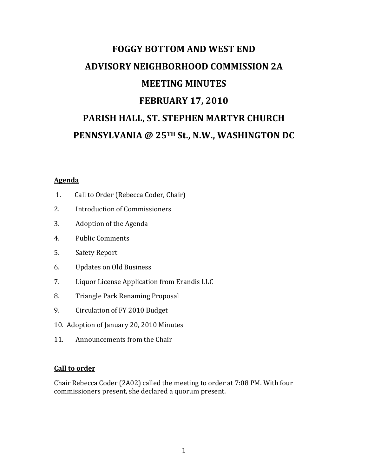# **FOGGY BOTTOM AND WEST END ADVISORY NEIGHBORHOOD COMMISSION 2A MEETING MINUTES FEBRUARY 17, 2010** PARISH HALL, ST. STEPHEN MARTYR CHURCH **PENNSYLVANIA @ 25TH St., N.W., WASHINGTON DC**

## **Agenda**

- 1. Call to Order (Rebecca Coder, Chair)
- 2. Introduction of Commissioners
- 3. Adoption of the Agenda
- 4. Public Comments
- 5. Safety Report
- 6. Updates on Old Business
- 7. Liquor License Application from Erandis LLC
- 8. Triangle Park Renaming Proposal
- 9. Circulation of FY 2010 Budget
- 10. Adoption of January 20, 2010 Minutes
- 11. Announcements from the Chair

#### **Call to order**

Chair Rebecca Coder (2A02) called the meeting to order at 7:08 PM. With four commissioners present, she declared a quorum present.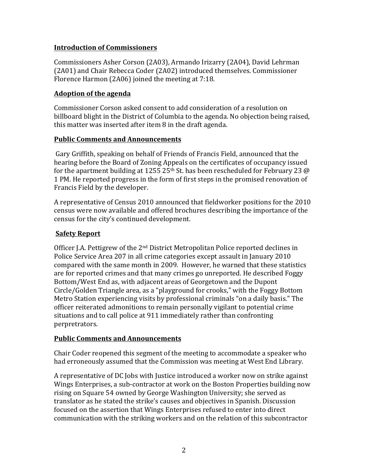## **Introduction of Commissioners**

Commissioners Asher Corson (2A03), Armando Irizarry (2A04), David Lehrman (2A01) and Chair Rebecca Coder (2A02) introduced themselves. Commissioner Florence Harmon  $(2A06)$  joined the meeting at  $7:18$ .

## **Adoption of the agenda**

Commissioner Corson asked consent to add consideration of a resolution on billboard blight in the District of Columbia to the agenda. No objection being raised, this matter was inserted after item  $8$  in the draft agenda.

## **Public Comments and Announcements**

Gary Griffith, speaking on behalf of Friends of Francis Field, announced that the hearing before the Board of Zoning Appeals on the certificates of occupancy issued for the apartment building at 1255 25<sup>th</sup> St. has been rescheduled for February 23 @ 1 PM. He reported progress in the form of first steps in the promised renovation of Francis Field by the developer.

A representative of Census 2010 announced that fieldworker positions for the 2010 census were now available and offered brochures describing the importance of the census for the city's continued development.

## **Safety Report**

Officer J.A. Pettigrew of the 2<sup>nd</sup> District Metropolitan Police reported declines in Police Service Area 207 in all crime categories except assault in January 2010 compared with the same month in 2009. However, he warned that these statistics are for reported crimes and that many crimes go unreported. He described Foggy Bottom/West End as, with adjacent areas of Georgetown and the Dupont Circle/Golden Triangle area, as a "playground for crooks," with the Foggy Bottom Metro Station experiencing visits by professional criminals "on a daily basis." The officer reiterated admonitions to remain personally vigilant to potential crime situations and to call police at 911 immediately rather than confronting perpretrators.

## **Public Comments and Announcements**

Chair Coder reopened this segment of the meeting to accommodate a speaker who had erroneously assumed that the Commission was meeting at West End Library.

A representative of DC Jobs with Justice introduced a worker now on strike against Wings Enterprises, a sub-contractor at work on the Boston Properties building now rising on Square 54 owned by George Washington University; she served as translator as he stated the strike's causes and objectives in Spanish. Discussion focused on the assertion that Wings Enterprises refused to enter into direct communication with the striking workers and on the relation of this subcontractor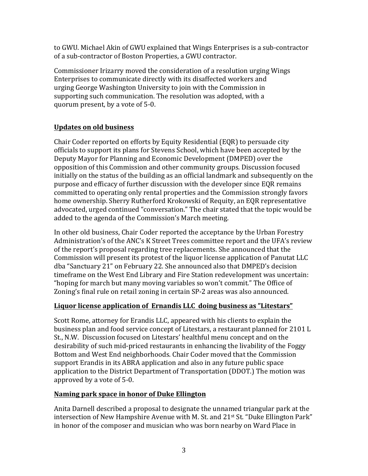to GWU. Michael Akin of GWU explained that Wings Enterprises is a sub-contractor of a sub-contractor of Boston Properties, a GWU contractor.

Commissioner Irizarry moved the consideration of a resolution urging Wings Enterprises to communicate directly with its disaffected workers and urging George Washington University to join with the Commission in supporting such communication. The resolution was adopted, with a quorum present, by a vote of 5-0.

## **Updates on old business**

Chair Coder reported on efforts by Equity Residential (EQR) to persuade city officials to support its plans for Stevens School, which have been accepted by the Deputy Mayor for Planning and Economic Development (DMPED) over the opposition of this Commission and other community groups. Discussion focused initially on the status of the building as an official landmark and subsequently on the purpose and efficacy of further discussion with the developer since EQR remains committed to operating only rental properties and the Commission strongly favors home ownership. Sherry Rutherford Krokowski of Requity, an EQR representative advocated, urged continued "conversation." The chair stated that the topic would be added to the agenda of the Commission's March meeting.

In other old business, Chair Coder reported the acceptance by the Urban Forestry Administration's of the ANC's K Street Trees committee report and the UFA's review of the report's proposal regarding tree replacements. She announced that the Commission will present its protest of the liquor license application of Panutat LLC dba "Sanctuary 21" on February 22. She announced also that DMPED's decision timeframe on the West End Library and Fire Station redevelopment was uncertain: "hoping for march but many moving variables so won't commit." The Office of Zoning's final rule on retail zoning in certain SP-2 areas was also announced.

## **Liquor license application of Ernandis LLC doing business as "Litestars"**

Scott Rome, attorney for Erandis LLC, appeared with his clients to explain the business plan and food service concept of Litestars, a restaurant planned for 2101 L St., N.W. Discussion focused on Litestars' healthful menu concept and on the desirability of such mid-priced restaurants in enhancing the livability of the Foggy Bottom and West End neighborhoods. Chair Coder moved that the Commission support Erandis in its ABRA application and also in any future public space application to the District Department of Transportation (DDOT.) The motion was approved by a vote of 5-0.

## Naming park space in honor of Duke Ellington

Anita Darnell described a proposal to designate the unnamed triangular park at the intersection of New Hampshire Avenue with M. St. and  $21^{st}$  St. "Duke Ellington Park" in honor of the composer and musician who was born nearby on Ward Place in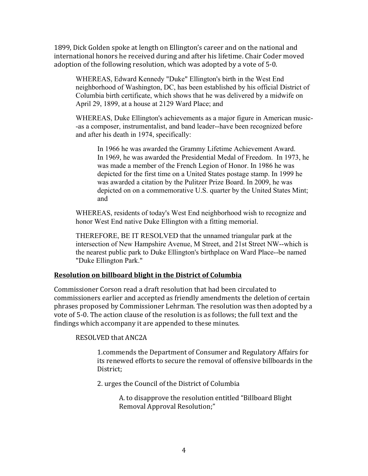1899, Dick Golden spoke at length on Ellington's career and on the national and international honors he received during and after his lifetime. Chair Coder moved adoption of the following resolution, which was adopted by a vote of 5-0.

WHEREAS, Edward Kennedy "Duke" Ellington's birth in the West End neighborhood of Washington, DC, has been established by his official District of Columbia birth certificate, which shows that he was delivered by a midwife on April 29, 1899, at a house at 2129 Ward Place; and

WHEREAS, Duke Ellington's achievements as a major figure in American music- -as a composer, instrumentalist, and band leader--have been recognized before and after his death in 1974, specifically:

In 1966 he was awarded the Grammy Lifetime Achievement Award. In 1969, he was awarded the Presidential Medal of Freedom. In 1973, he was made a member of the French Legion of Honor. In 1986 he was depicted for the first time on a United States postage stamp. In 1999 he was awarded a citation by the Pulitzer Prize Board. In 2009, he was depicted on on a commemorative U.S. quarter by the United States Mint; and

WHEREAS, residents of today's West End neighborhood wish to recognize and honor West End native Duke Ellington with a fitting memorial.

THEREFORE, BE IT RESOLVED that the unnamed triangular park at the intersection of New Hampshire Avenue, M Street, and 21st Street NW--which is the nearest public park to Duke Ellington's birthplace on Ward Place--be named "Duke Ellington Park."

## **Resolution on billboard blight in the District of Columbia**

Commissioner Corson read a draft resolution that had been circulated to commissioners earlier and accepted as friendly amendments the deletion of certain phrases proposed by Commissioner Lehrman. The resolution was then adopted by a vote of 5-0. The action clause of the resolution is as follows; the full text and the findings which accompany it are appended to these minutes.

## RESOLVED that ANC2A

1. Commends the Department of Consumer and Regulatory Affairs for its renewed efforts to secure the removal of offensive billboards in the District;

2. urges the Council of the District of Columbia

A. to disapprove the resolution entitled "Billboard Blight" Removal Approval Resolution;"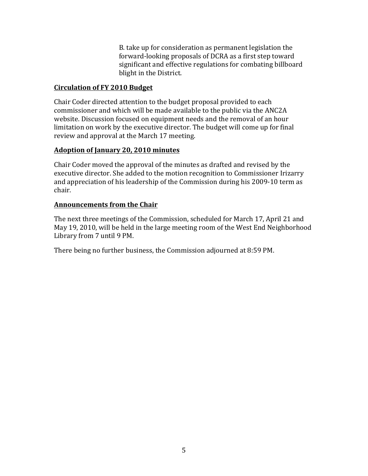B. take up for consideration as permanent legislation the forward-looking proposals of DCRA as a first step toward significant and effective regulations for combating billboard blight in the District.

## **Circulation of FY 2010 Budget**

Chair Coder directed attention to the budget proposal provided to each commissioner and which will be made available to the public via the ANC2A website. Discussion focused on equipment needs and the removal of an hour limitation on work by the executive director. The budget will come up for final review and approval at the March 17 meeting.

## **Adoption of January 20, 2010 minutes**

Chair Coder moved the approval of the minutes as drafted and revised by the executive director. She added to the motion recognition to Commissioner Irizarry and appreciation of his leadership of the Commission during his 2009-10 term as chair.

## **Announcements from the Chair**

The next three meetings of the Commission, scheduled for March 17, April 21 and May 19, 2010, will be held in the large meeting room of the West End Neighborhood Library from 7 until 9 PM.

There being no further business, the Commission adjourned at 8:59 PM.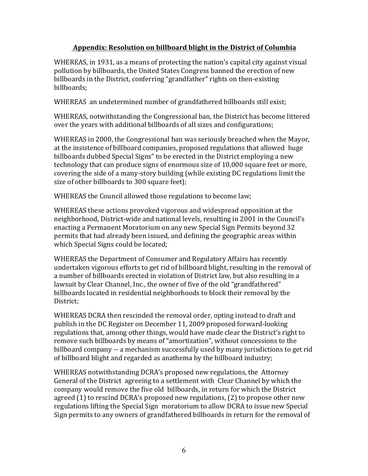## Appendix: Resolution on billboard blight in the District of Columbia

WHEREAS, in 1931, as a means of protecting the nation's capital city against visual pollution by billboards, the United States Congress banned the erection of new billboards in the District, conferring "grandfather" rights on then-existing billboards; 

WHEREAS an undetermined number of grandfathered billboards still exist;

WHEREAS, notwithstanding the Congressional ban, the District has become littered over the years with additional billboards of all sizes and configurations;

WHEREAS in 2000, the Congressional ban was seriously breached when the Mayor, at the insistence of billboard companies, proposed regulations that allowed huge billboards dubbed Special Signs" to be erected in the District employing a new technology that can produce signs of enormous size of 10,000 square feet or more, covering the side of a many-story building (while existing DC regulations limit the size of other billboards to 300 square feet);

WHEREAS the Council allowed those regulations to become law;

WHEREAS these actions provoked vigorous and widespread opposition at the neighborhood, District-wide and national levels, resulting in 2001 in the Council's enacting a Permanent Moratorium on any new Special Sign Permits beyond 32 permits that had already been issued, and defining the geographic areas within which Special Signs could be located;

WHEREAS the Department of Consumer and Regulatory Affairs has recently undertaken vigorous efforts to get rid of billboard blight, resulting in the removal of a number of billboards erected in violation of District law, but also resulting in a lawsuit by Clear Channel, Inc., the owner of five of the old "grandfathered" billboards located in residential neighborhoods to block their removal by the District; 

WHEREAS DCRA then rescinded the removal order, opting instead to draft and publish in the DC Register on December 11, 2009 proposed forward-looking regulations that, among other things, would have made clear the District's right to remove such billboards by means of "amortization", without concessions to the billboard company -- a mechanism successfully used by many jurisdictions to get rid of billboard blight and regarded as anathema by the billboard industry;

WHEREAS notwithstanding DCRA's proposed new regulations, the Attorney General of the District agreeing to a settlement with Clear Channel by which the company would remove the five old billboards, in return for which the District agreed  $(1)$  to rescind DCRA's proposed new regulations,  $(2)$  to propose other new regulations lifting the Special Sign moratorium to allow DCRA to issue new Special Sign permits to any owners of grandfathered billboards in return for the removal of